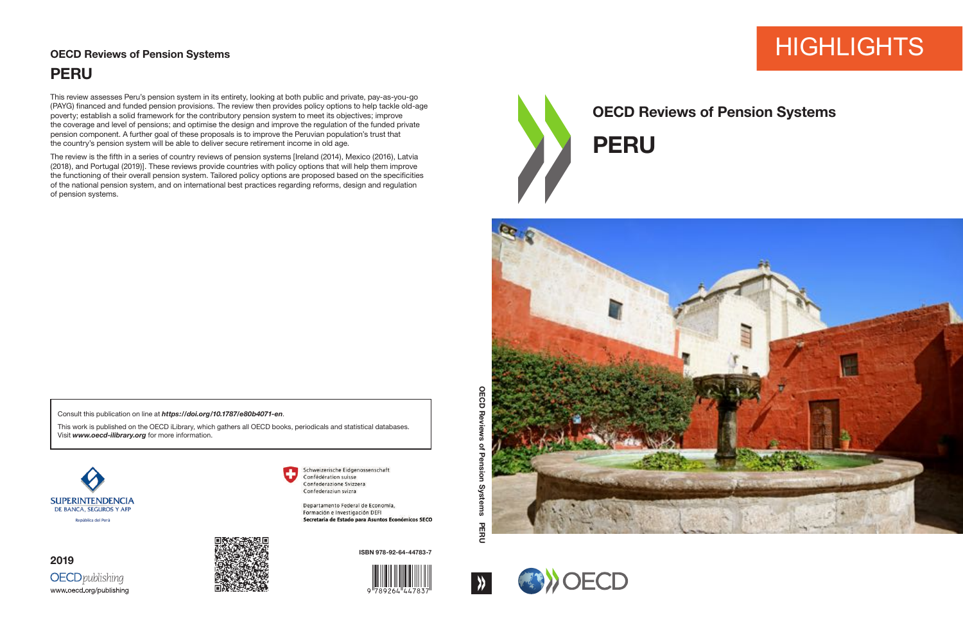# **HIGHLIGHTS**



## **OECD Reviews of Pension Systems**





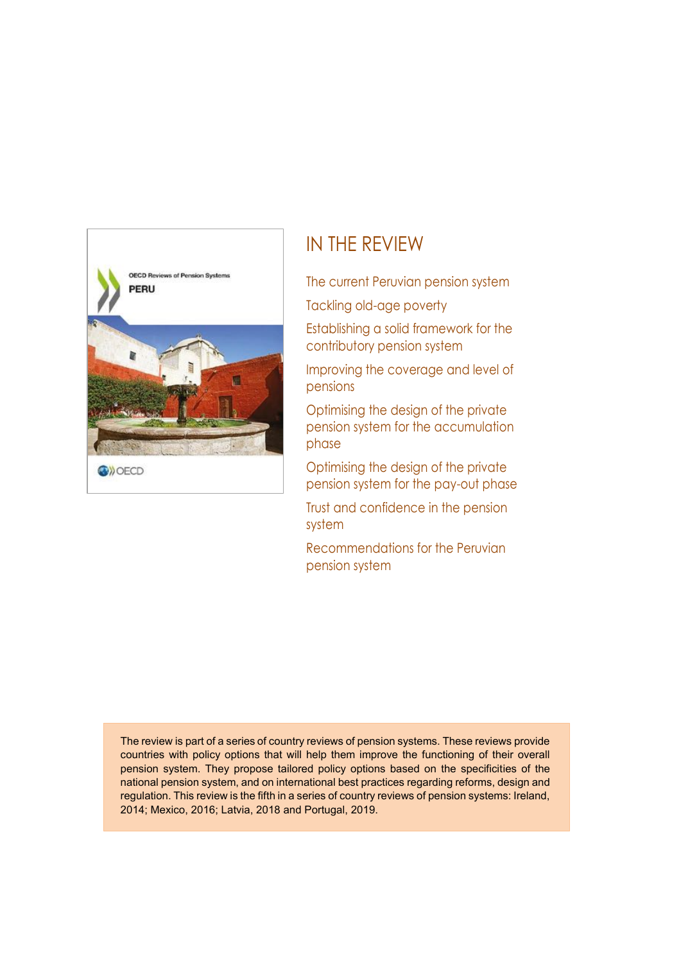

### IN THE REVIEW

The current Peruvian pension system Tackling old-age poverty

Establishing a solid framework for the contributory pension system

Improving the coverage and level of pensions

Optimising the design of the private pension system for the accumulation phase

Optimising the design of the private pension system for the pay-out phase

Trust and confidence in the pension system

Recommendations for the Peruvian pension system

The review is part of a series of country reviews of pension systems. These reviews provide countries with policy options that will help them improve the functioning of their overall pension system. They propose tailored policy options based on the specificities of the national pension system, and on international best practices regarding reforms, design and regulation. This review is the fifth in a series of country reviews of pension systems: Ireland, 2014; Mexico, 2016; Latvia, 2018 and Portugal, 2019.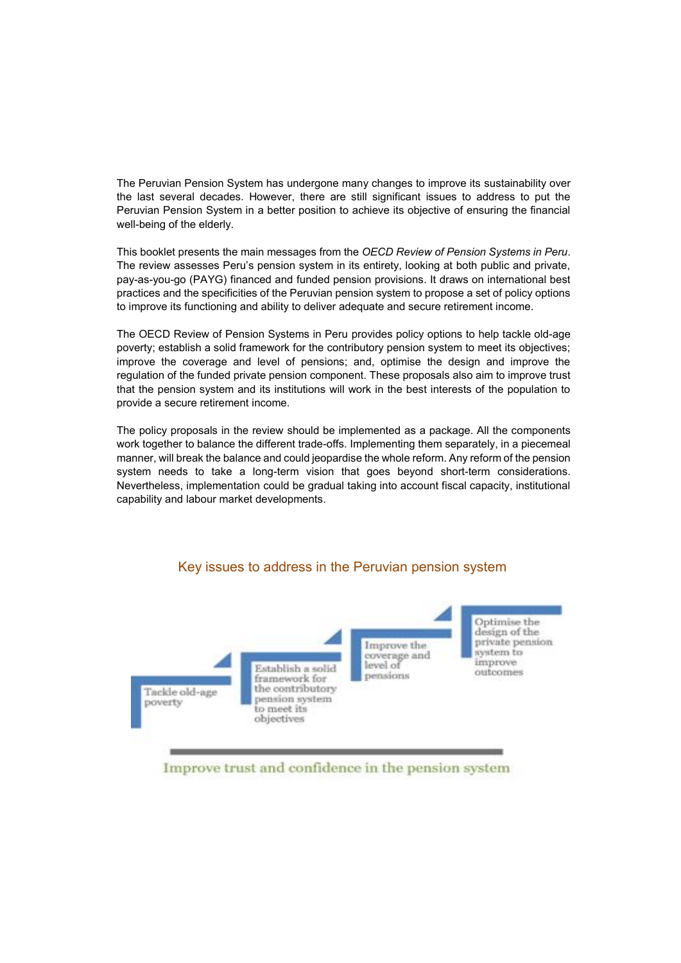The Peruvian Pension System has undergone many changes to improve its sustainability over the last several decades. However, there are still significant issues to address to put the Peruvian Pension System in a better position to achieve its objective of ensuring the financial well-being of the elderly.

This booklet presents the main messages from the *OECD Review of Pension Systems in Peru*. The review assesses Peru's pension system in its entirety, looking at both public and private, pay-as-you-go (PAYG) financed and funded pension provisions. It draws on international best practices and the specificities of the Peruvian pension system to propose a set of policy options to improve its functioning and ability to deliver adequate and secure retirement income.

The OECD Review of Pension Systems in Peru provides policy options to help tackle old-age poverty; establish a solid framework for the contributory pension system to meet its objectives; improve the coverage and level of pensions; and, optimise the design and improve the regulation of the funded private pension component. These proposals also aim to improve trust that the pension system and its institutions will work in the best interests of the population to provide a secure retirement income.

The policy proposals in the review should be implemented as a package. All the components work together to balance the different trade-offs. Implementing them separately, in a piecemeal manner, will break the balance and could jeopardise the whole reform. Any reform of the pension system needs to take a long-term vision that goes beyond short-term considerations. Nevertheless, implementation could be gradual taking into account fiscal capacity, institutional capability and labour market developments.

#### Key issues to address in the Peruvian pension system



Improve trust and confidence in the pension system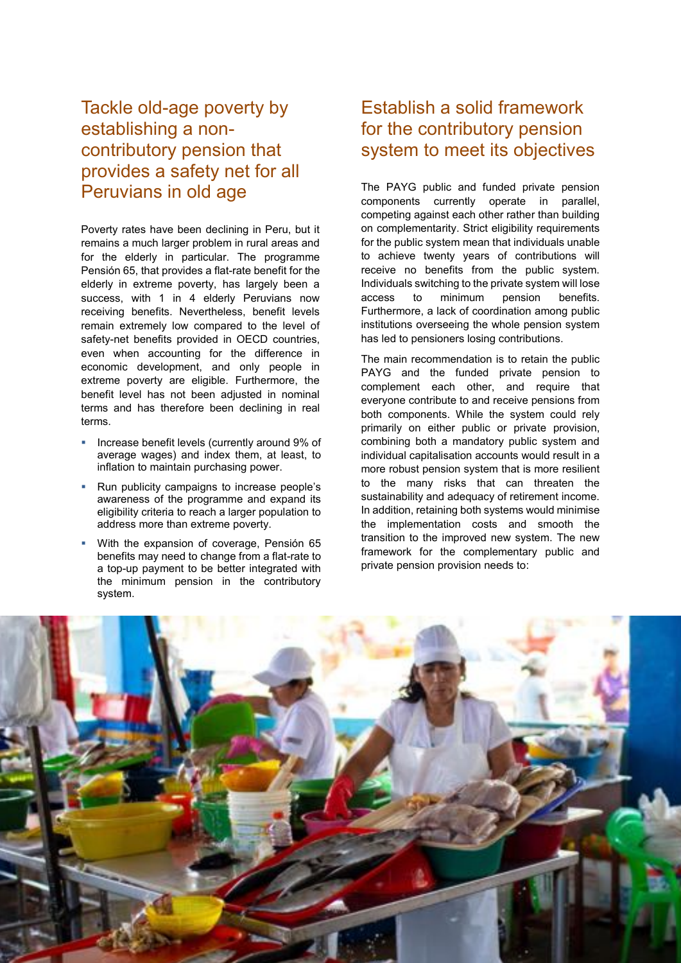#### Tackle old-age poverty by establishing a noncontributory pension that provides a safety net for all Peruvians in old age

Poverty rates have been declining in Peru, but it remains a much larger problem in rural areas and for the elderly in particular. The programme Pensión 65, that provides a flat-rate benefit for the elderly in extreme poverty, has largely been a success, with 1 in 4 elderly Peruvians now receiving benefits. Nevertheless, benefit levels remain extremely low compared to the level of safety-net benefits provided in OECD countries, even when accounting for the difference in economic development, and only people in extreme poverty are eligible. Furthermore, the benefit level has not been adjusted in nominal terms and has therefore been declining in real terms.

- Increase benefit levels (currently around 9% of average wages) and index them, at least, to inflation to maintain purchasing power.
- Run publicity campaigns to increase people's awareness of the programme and expand its eligibility criteria to reach a larger population to address more than extreme poverty.
- With the expansion of coverage, Pensión 65 benefits may need to change from a flat-rate to a top-up payment to be better integrated with the minimum pension in the contributory system.

#### Establish a solid framework for the contributory pension system to meet its objectives

The PAYG public and funded private pension components currently operate in parallel, competing against each other rather than building on complementarity. Strict eligibility requirements for the public system mean that individuals unable to achieve twenty years of contributions will receive no benefits from the public system. Individuals switching to the private system will lose access to minimum pension benefits. Furthermore, a lack of coordination among public institutions overseeing the whole pension system has led to pensioners losing contributions.

The main recommendation is to retain the public PAYG and the funded private pension to complement each other, and require that everyone contribute to and receive pensions from both components. While the system could rely primarily on either public or private provision, combining both a mandatory public system and individual capitalisation accounts would result in a more robust pension system that is more resilient to the many risks that can threaten the sustainability and adequacy of retirement income. In addition, retaining both systems would minimise the implementation costs and smooth the transition to the improved new system. The new framework for the complementary public and private pension provision needs to:

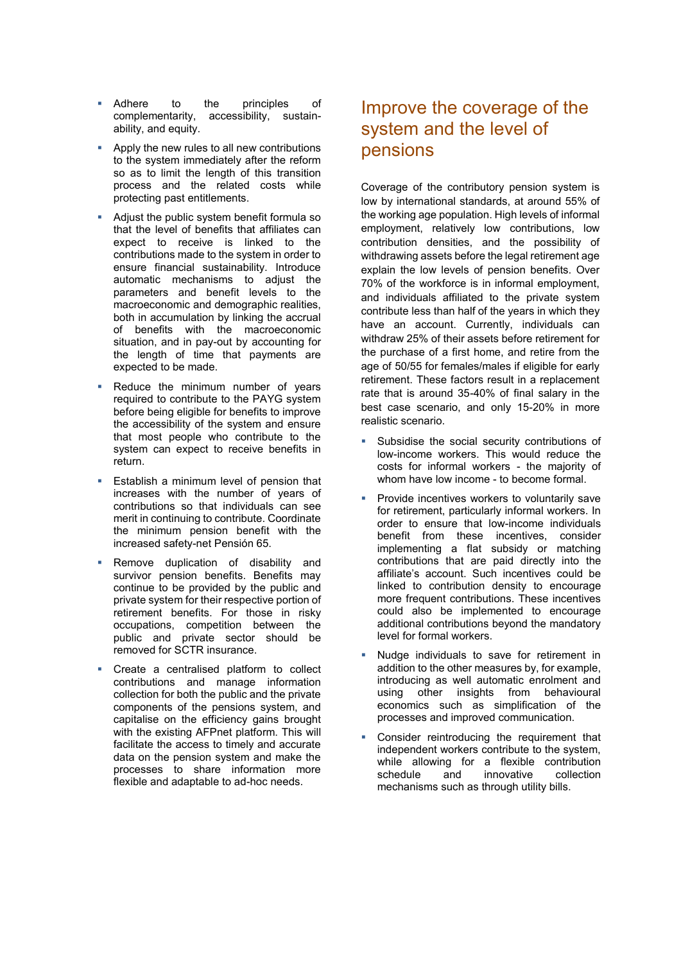- Adhere to the principles of complementarity, accessibility, sustainability, and equity.
- Apply the new rules to all new contributions to the system immediately after the reform so as to limit the length of this transition process and the related costs while protecting past entitlements.
- Adjust the public system benefit formula so that the level of benefits that affiliates can expect to receive is linked to the contributions made to the system in order to ensure financial sustainability. Introduce automatic mechanisms to adjust the parameters and benefit levels to the macroeconomic and demographic realities, both in accumulation by linking the accrual of benefits with the macroeconomic situation, and in pay-out by accounting for the length of time that payments are expected to be made.
- Reduce the minimum number of years required to contribute to the PAYG system before being eligible for benefits to improve the accessibility of the system and ensure that most people who contribute to the system can expect to receive benefits in return.
- Establish a minimum level of pension that increases with the number of years of contributions so that individuals can see merit in continuing to contribute. Coordinate the minimum pension benefit with the increased safety-net Pensión 65.
- Remove duplication of disability and survivor pension benefits. Benefits may continue to be provided by the public and private system for their respective portion of retirement benefits. For those in risky occupations, competition between the public and private sector should be removed for SCTR insurance.
- Create a centralised platform to collect contributions and manage information collection for both the public and the private components of the pensions system, and capitalise on the efficiency gains brought with the existing AFPnet platform. This will facilitate the access to timely and accurate data on the pension system and make the processes to share information more flexible and adaptable to ad-hoc needs.

#### Improve the coverage of the system and the level of pensions

Coverage of the contributory pension system is low by international standards, at around 55% of the working age population. High levels of informal employment, relatively low contributions, low contribution densities, and the possibility of withdrawing assets before the legal retirement age explain the low levels of pension benefits. Over 70% of the workforce is in informal employment, and individuals affiliated to the private system contribute less than half of the years in which they have an account. Currently, individuals can withdraw 25% of their assets before retirement for the purchase of a first home, and retire from the age of 50/55 for females/males if eligible for early retirement. These factors result in a replacement rate that is around 35-40% of final salary in the best case scenario, and only 15-20% in more realistic scenario.

- Subsidise the social security contributions of low-income workers. This would reduce the costs for informal workers - the majority of whom have low income - to become formal.
- Provide incentives workers to voluntarily save for retirement, particularly informal workers. In order to ensure that low-income individuals benefit from these incentives, consider implementing a flat subsidy or matching contributions that are paid directly into the affiliate's account. Such incentives could be linked to contribution density to encourage more frequent contributions. These incentives could also be implemented to encourage additional contributions beyond the mandatory level for formal workers.
- Nudge individuals to save for retirement in addition to the other measures by, for example, introducing as well automatic enrolment and using other insights from behavioural economics such as simplification of the processes and improved communication.
- Consider reintroducing the requirement that independent workers contribute to the system, while allowing for a flexible contribution schedule and innovative collection mechanisms such as through utility bills.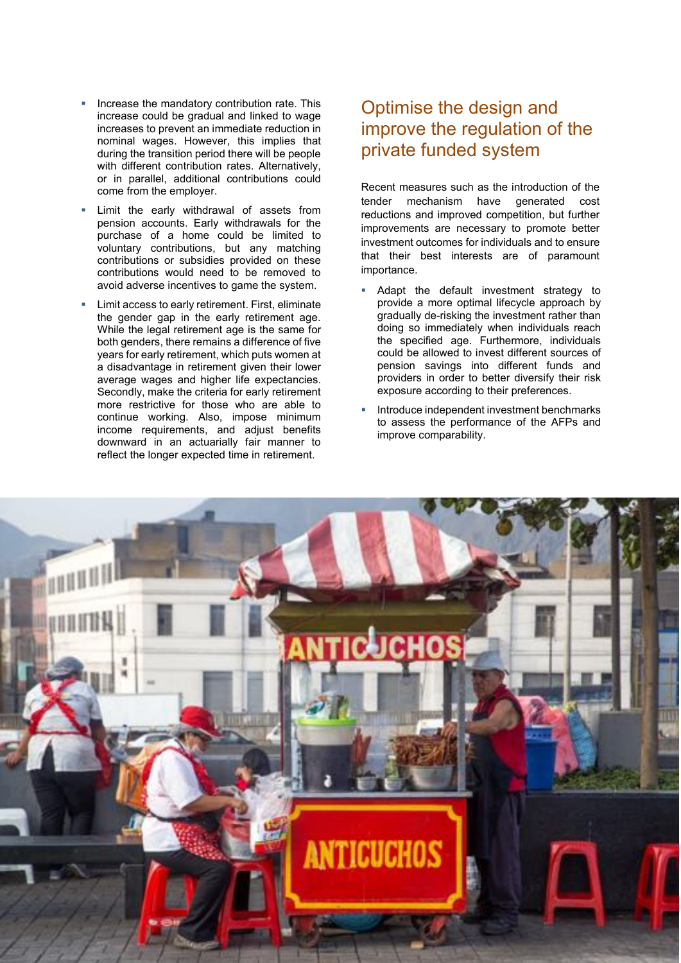- Increase the mandatory contribution rate. This increase could be gradual and linked to wage increases to prevent an immediate reduction in nominal wages. However, this implies that during the transition period there will be people with different contribution rates. Alternatively, or in parallel, additional contributions could come from the employer.
- Limit the early withdrawal of assets from pension accounts. Early withdrawals for the purchase of a home could be limited to voluntary contributions, but any matching contributions or subsidies provided on these contributions would need to be removed to avoid adverse incentives to game the system.
- Limit access to early retirement. First, eliminate the gender gap in the early retirement age. While the legal retirement age is the same for both genders, there remains a difference of five years for early retirement, which puts women at a disadvantage in retirement given their lower average wages and higher life expectancies. Secondly, make the criteria for early retirement more restrictive for those who are able to continue working. Also, impose minimum income requirements, and adjust benefits downward in an actuarially fair manner to reflect the longer expected time in retirement.

#### Optimise the design and improve the regulation of the private funded system

Recent measures such as the introduction of the tender mechanism have generated cost reductions and improved competition, but further improvements are necessary to promote better investment outcomes for individuals and to ensure that their best interests are of paramount importance.

- Adapt the default investment strategy to provide a more optimal lifecycle approach by gradually de-risking the investment rather than doing so immediately when individuals reach the specified age. Furthermore, individuals could be allowed to invest different sources of pension savings into different funds and providers in order to better diversify their risk exposure according to their preferences.
- Introduce independent investment benchmarks to assess the performance of the AFPs and improve comparability.

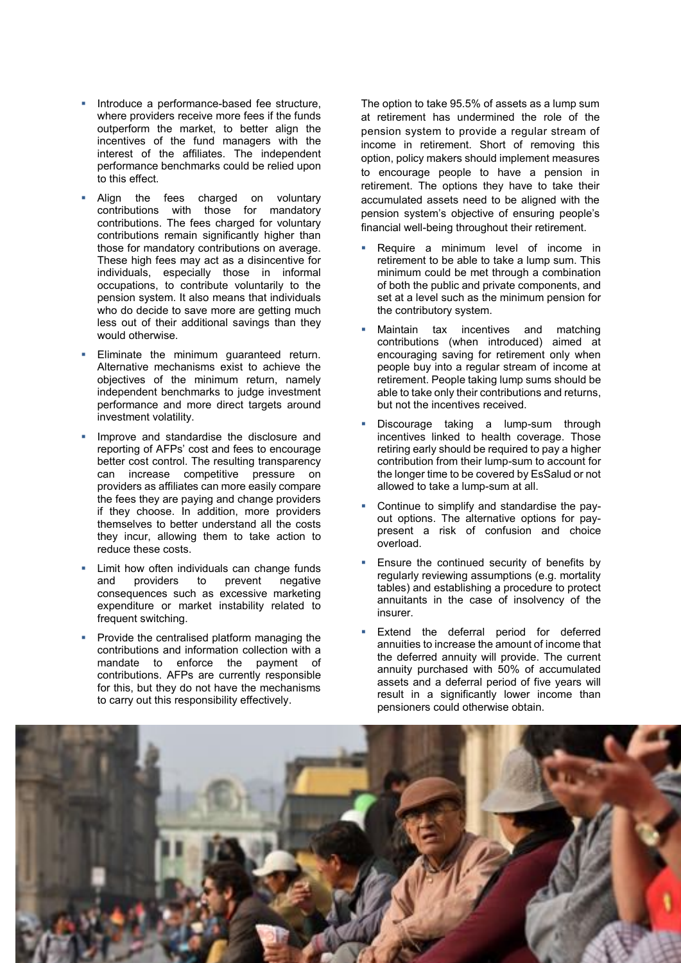- Introduce a performance-based fee structure, where providers receive more fees if the funds outperform the market, to better align the incentives of the fund managers with the interest of the affiliates. The independent performance benchmarks could be relied upon to this effect.
- Align the fees charged on voluntary contributions with those for mandatory contributions. The fees charged for voluntary contributions remain significantly higher than those for mandatory contributions on average. These high fees may act as a disincentive for individuals, especially those in informal occupations, to contribute voluntarily to the pension system. It also means that individuals who do decide to save more are getting much less out of their additional savings than they would otherwise.
- Eliminate the minimum guaranteed return. Alternative mechanisms exist to achieve the objectives of the minimum return, namely independent benchmarks to judge investment performance and more direct targets around investment volatility.
- Improve and standardise the disclosure and reporting of AFPs' cost and fees to encourage better cost control. The resulting transparency can increase competitive pressure on providers as affiliates can more easily compare the fees they are paying and change providers if they choose. In addition, more providers themselves to better understand all the costs they incur, allowing them to take action to reduce these costs.
- Limit how often individuals can change funds<br>and providers to prevent negative and providers to prevent negative consequences such as excessive marketing expenditure or market instability related to frequent switching.
- Provide the centralised platform managing the contributions and information collection with a mandate to enforce the payment of contributions. AFPs are currently responsible for this, but they do not have the mechanisms to carry out this responsibility effectively.

The option to take 95.5% of assets as a lump sum at retirement has undermined the role of the pension system to provide a regular stream of income in retirement. Short of removing this option, policy makers should implement measures to encourage people to have a pension in retirement. The options they have to take their accumulated assets need to be aligned with the pension system's objective of ensuring people's financial well-being throughout their retirement.

- Require a minimum level of income in retirement to be able to take a lump sum. This minimum could be met through a combination of both the public and private components, and set at a level such as the minimum pension for the contributory system.
- Maintain tax incentives and matching contributions (when introduced) aimed at encouraging saving for retirement only when people buy into a regular stream of income at retirement. People taking lump sums should be able to take only their contributions and returns, but not the incentives received.
- Discourage taking a lump-sum through incentives linked to health coverage. Those retiring early should be required to pay a higher contribution from their lump-sum to account for the longer time to be covered by EsSalud or not allowed to take a lump-sum at all.
- Continue to simplify and standardise the payout options. The alternative options for paypresent a risk of confusion and choice overload.
- Ensure the continued security of benefits by regularly reviewing assumptions (e.g. mortality tables) and establishing a procedure to protect annuitants in the case of insolvency of the insurer.
- Extend the deferral period for deferred annuities to increase the amount of income that the deferred annuity will provide. The current annuity purchased with 50% of accumulated assets and a deferral period of five years will result in a significantly lower income than pensioners could otherwise obtain.